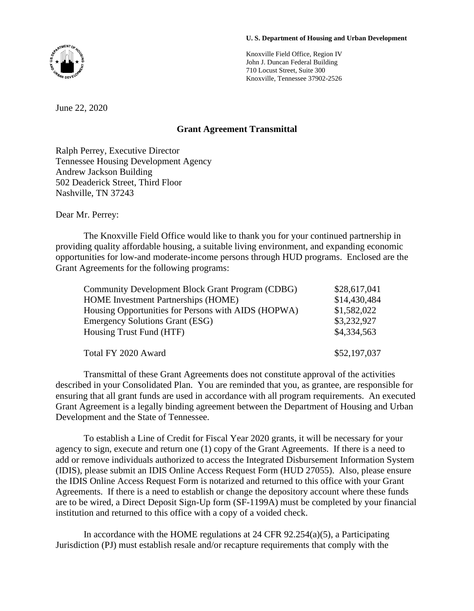Knoxville Field Office, Region IV John J. Duncan Federal Building 710 Locust Street, Suite 300 Knoxville, Tennessee 37902-2526

June 22, 2020

## **Grant Agreement Transmittal**

Ralph Perrey, Executive Director Tennessee Housing Development Agency Andrew Jackson Building 502 Deaderick Street, Third Floor Nashville, TN 37243

Dear Mr. Perrey:

The Knoxville Field Office would like to thank you for your continued partnership in providing quality affordable housing, a suitable living environment, and expanding economic opportunities for low-and moderate-income persons through HUD programs. Enclosed are the Grant Agreements for the following programs:

| <b>Community Development Block Grant Program (CDBG)</b> | \$28,617,041 |
|---------------------------------------------------------|--------------|
| <b>HOME</b> Investment Partnerships (HOME)              | \$14,430,484 |
| Housing Opportunities for Persons with AIDS (HOPWA)     | \$1,582,022  |
| <b>Emergency Solutions Grant (ESG)</b>                  | \$3,232,927  |
| Housing Trust Fund (HTF)                                | \$4,334,563  |
| Total FY 2020 Award                                     | \$52,197,037 |

Transmittal of these Grant Agreements does not constitute approval of the activities described in your Consolidated Plan. You are reminded that you, as grantee, are responsible for ensuring that all grant funds are used in accordance with all program requirements. An executed Grant Agreement is a legally binding agreement between the Department of Housing and Urban Development and the State of Tennessee.

To establish a Line of Credit for Fiscal Year 2020 grants, it will be necessary for your agency to sign, execute and return one (1) copy of the Grant Agreements. If there is a need to add or remove individuals authorized to access the Integrated Disbursement Information System (IDIS), please submit an IDIS Online Access Request Form (HUD 27055). Also, please ensure the IDIS Online Access Request Form is notarized and returned to this office with your Grant Agreements. If there is a need to establish or change the depository account where these funds are to be wired, a Direct Deposit Sign-Up form (SF-1199A) must be completed by your financial institution and returned to this office with a copy of a voided check.

In accordance with the HOME regulations at 24 CFR  $92.254(a)(5)$ , a Participating Jurisdiction (PJ) must establish resale and/or recapture requirements that comply with the

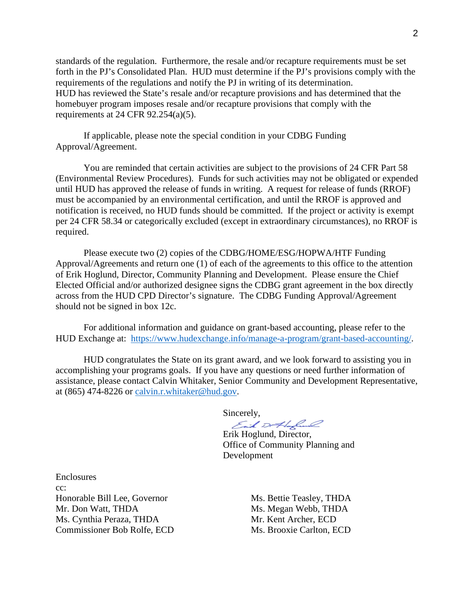standards of the regulation. Furthermore, the resale and/or recapture requirements must be set forth in the PJ's Consolidated Plan. HUD must determine if the PJ's provisions comply with the requirements of the regulations and notify the PJ in writing of its determination. HUD has reviewed the State's resale and/or recapture provisions and has determined that the homebuyer program imposes resale and/or recapture provisions that comply with the requirements at  $24$  CFR  $92.254(a)(5)$ .

If applicable, please note the special condition in your CDBG Funding Approval/Agreement.

You are reminded that certain activities are subject to the provisions of 24 CFR Part 58 (Environmental Review Procedures). Funds for such activities may not be obligated or expended until HUD has approved the release of funds in writing. A request for release of funds (RROF) must be accompanied by an environmental certification, and until the RROF is approved and notification is received, no HUD funds should be committed. If the project or activity is exempt per 24 CFR 58.34 or categorically excluded (except in extraordinary circumstances), no RROF is required.

Please execute two (2) copies of the CDBG/HOME/ESG/HOPWA/HTF Funding Approval/Agreements and return one (1) of each of the agreements to this office to the attention of Erik Hoglund, Director, Community Planning and Development. Please ensure the Chief Elected Official and/or authorized designee signs the CDBG grant agreement in the box directly across from the HUD CPD Director's signature. The CDBG Funding Approval/Agreement should not be signed in box 12c.

For additional information and guidance on grant-based accounting, please refer to the HUD Exchange at: [https://www.hudexchange.info/manage-a-program/grant-based-accounting/.](https://www.hudexchange.info/manage-a-program/grant-based-accounting/)

HUD congratulates the State on its grant award, and we look forward to assisting you in accomplishing your programs goals. If you have any questions or need further information of assistance, please contact Calvin Whitaker, Senior Community and Development Representative, at (865) 474-8226 or [calvin.r.whitaker@hud.gov.](mailto:calvin.r.whitaker@hud.gov)

Sincerely,<br>Each Doff of Council

Erik Hoglund, Director, Office of Community Planning and Development

Enclosures  $cc$ <sup>.</sup> Honorable Bill Lee, Governor Ms. Bettie Teasley, THDA Mr. Don Watt, THDA Ms. Megan Webb, THDA Ms. Cynthia Peraza, THDA Mr. Kent Archer, ECD Commissioner Bob Rolfe, ECD Ms. Brooxie Carlton, ECD